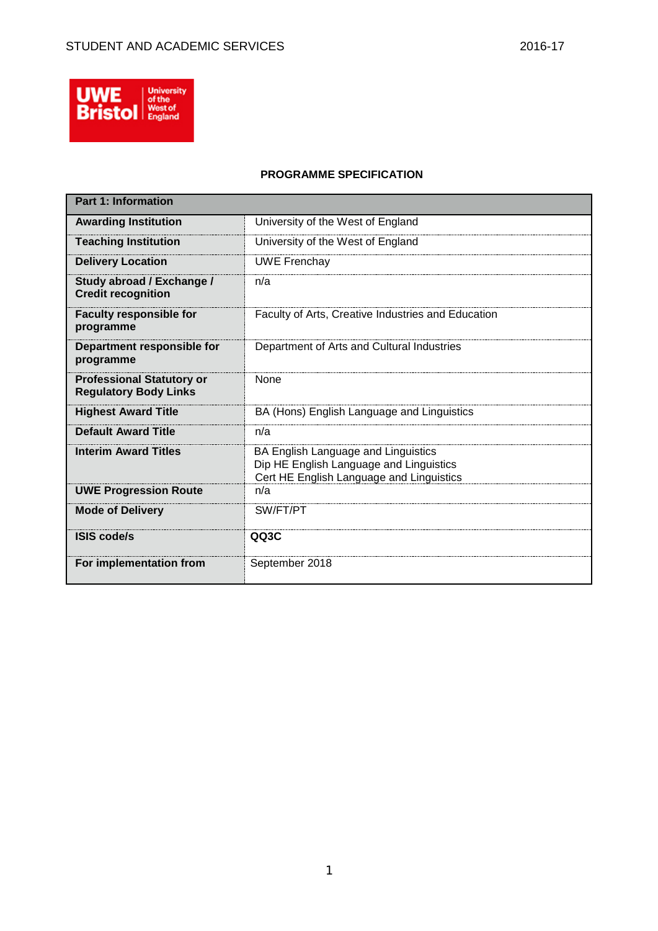

### **PROGRAMME SPECIFICATION**

| <b>Part 1: Information</b>                                       |                                                                                                                            |
|------------------------------------------------------------------|----------------------------------------------------------------------------------------------------------------------------|
| <b>Awarding Institution</b>                                      | University of the West of England                                                                                          |
| <b>Teaching Institution</b>                                      | University of the West of England                                                                                          |
| <b>Delivery Location</b>                                         | <b>UWE Frenchay</b>                                                                                                        |
| Study abroad / Exchange /<br><b>Credit recognition</b>           | n/a                                                                                                                        |
| <b>Faculty responsible for</b><br>programme                      | Faculty of Arts, Creative Industries and Education                                                                         |
| Department responsible for<br>programme                          | Department of Arts and Cultural Industries                                                                                 |
| <b>Professional Statutory or</b><br><b>Regulatory Body Links</b> | <b>None</b>                                                                                                                |
| <b>Highest Award Title</b>                                       | BA (Hons) English Language and Linguistics                                                                                 |
| <b>Default Award Title</b>                                       | n/a                                                                                                                        |
| <b>Interim Award Titles</b>                                      | BA English Language and Linguistics<br>Dip HE English Language and Linguistics<br>Cert HE English Language and Linguistics |
| <b>UWE Progression Route</b>                                     | n/a                                                                                                                        |
| <b>Mode of Delivery</b>                                          | SW/FT/PT                                                                                                                   |
| <b>ISIS code/s</b>                                               | QQ3C                                                                                                                       |
| For implementation from                                          | September 2018                                                                                                             |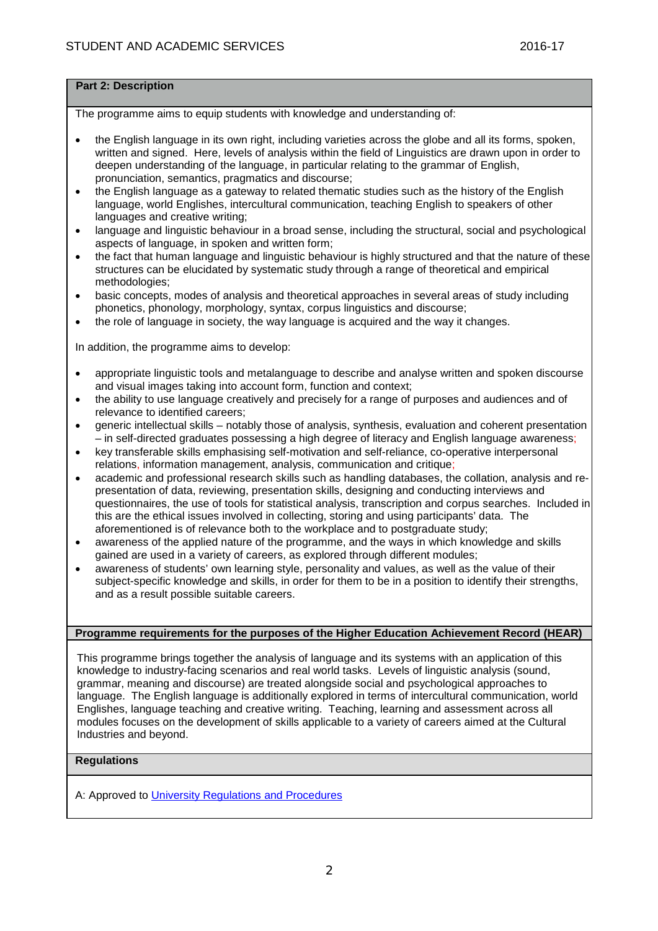## **Part 2: Description**

The programme aims to equip students with knowledge and understanding of:

- the English language in its own right, including varieties across the globe and all its forms, spoken, written and signed. Here, levels of analysis within the field of Linguistics are drawn upon in order to deepen understanding of the language, in particular relating to the grammar of English, pronunciation, semantics, pragmatics and discourse;
- the English language as a gateway to related thematic studies such as the history of the English language, world Englishes, intercultural communication, teaching English to speakers of other languages and creative writing;
- language and linguistic behaviour in a broad sense, including the structural, social and psychological aspects of language, in spoken and written form;
- the fact that human language and linguistic behaviour is highly structured and that the nature of these structures can be elucidated by systematic study through a range of theoretical and empirical methodologies;
- basic concepts, modes of analysis and theoretical approaches in several areas of study including phonetics, phonology, morphology, syntax, corpus linguistics and discourse;
- the role of language in society, the way language is acquired and the way it changes.

In addition, the programme aims to develop:

- appropriate linguistic tools and metalanguage to describe and analyse written and spoken discourse and visual images taking into account form, function and context;
- the ability to use language creatively and precisely for a range of purposes and audiences and of relevance to identified careers;
- generic intellectual skills notably those of analysis, synthesis, evaluation and coherent presentation – in self-directed graduates possessing a high degree of literacy and English language awareness;
- key transferable skills emphasising self-motivation and self-reliance, co-operative interpersonal relations, information management, analysis, communication and critique;
- academic and professional research skills such as handling databases, the collation, analysis and representation of data, reviewing, presentation skills, designing and conducting interviews and questionnaires, the use of tools for statistical analysis, transcription and corpus searches. Included in this are the ethical issues involved in collecting, storing and using participants' data. The aforementioned is of relevance both to the workplace and to postgraduate study;
- awareness of the applied nature of the programme, and the ways in which knowledge and skills gained are used in a variety of careers, as explored through different modules;
- awareness of students' own learning style, personality and values, as well as the value of their subject-specific knowledge and skills, in order for them to be in a position to identify their strengths, and as a result possible suitable careers.

#### **Programme requirements for the purposes of the Higher Education Achievement Record (HEAR)**

This programme brings together the analysis of language and its systems with an application of this knowledge to industry-facing scenarios and real world tasks. Levels of linguistic analysis (sound, grammar, meaning and discourse) are treated alongside social and psychological approaches to language. The English language is additionally explored in terms of intercultural communication, world Englishes, language teaching and creative writing. Teaching, learning and assessment across all modules focuses on the development of skills applicable to a variety of careers aimed at the Cultural Industries and beyond.

## **Regulations**

A: Approved to [University Regulations and Procedures](http://www1.uwe.ac.uk/students/academicadvice/assessments/regulationsandprocedures.aspx)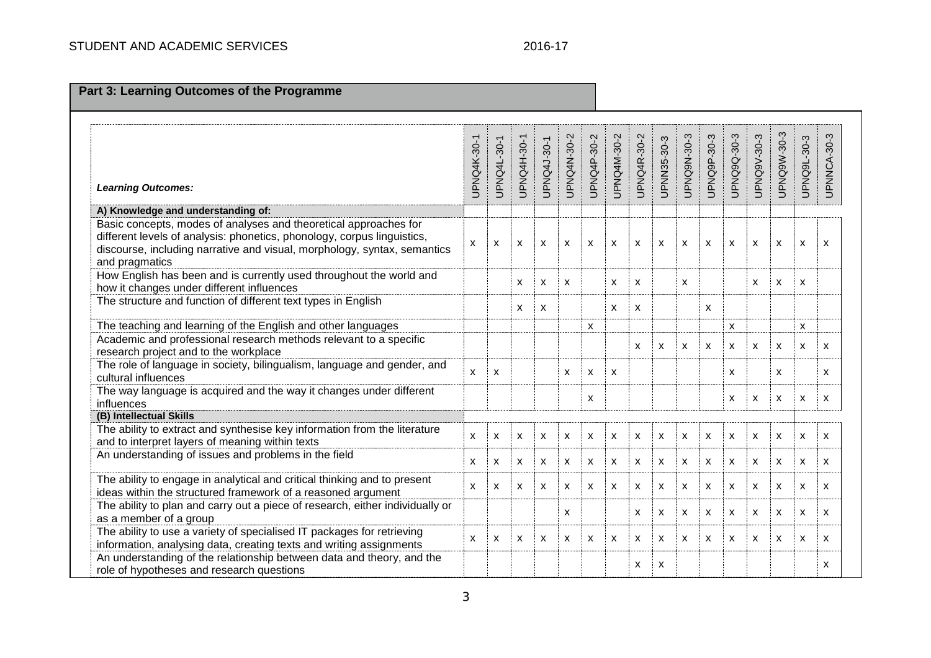| <b>Part 3: Learning Outcomes of the Programme</b>                                                                                                                                                                                         |                    |             |             |             |             |             |             |              |             |                           |             |             |                           |             |             |                           |
|-------------------------------------------------------------------------------------------------------------------------------------------------------------------------------------------------------------------------------------------|--------------------|-------------|-------------|-------------|-------------|-------------|-------------|--------------|-------------|---------------------------|-------------|-------------|---------------------------|-------------|-------------|---------------------------|
|                                                                                                                                                                                                                                           |                    |             |             |             |             |             |             |              |             |                           |             |             |                           |             |             |                           |
| <b>Learning Outcomes:</b>                                                                                                                                                                                                                 | <b>UPNQ4K-30-1</b> | UPNQ4L-30-1 | UPNQ4H-30-1 | UPNQ4J-30-1 | UPNQ4N-30-2 | UPNQ4P-30-2 | UPNQ4M-30-2 | UPNQ4R-30-2  | JPNN35-30-3 | UPNQ9N-30-3               | UPNQ9P-30-3 | UPNQ9Q-30-3 | UPNQ9V-30-3               | UPNQ9W-30-3 | UPNQ9L-30-3 | UPNNCA-30-3               |
| A) Knowledge and understanding of:                                                                                                                                                                                                        |                    |             |             |             |             |             |             |              |             |                           |             |             |                           |             |             |                           |
| Basic concepts, modes of analyses and theoretical approaches for<br>different levels of analysis: phonetics, phonology, corpus linguistics,<br>discourse, including narrative and visual, morphology, syntax, semantics<br>and pragmatics | X                  | X           | X           | X           | X           | X           | X           | $\mathsf{x}$ | X           | X                         | X           | X           | X                         | X           | X           | X                         |
| How English has been and is currently used throughout the world and<br>how it changes under different influences                                                                                                                          |                    |             | X           | X           | x           |             | X           | X            |             | X                         |             |             | X                         | X           | X           |                           |
| The structure and function of different text types in English                                                                                                                                                                             |                    |             | х           | X           |             |             | X           | X            |             |                           | X           |             |                           |             |             |                           |
| The teaching and learning of the English and other languages                                                                                                                                                                              |                    |             |             |             |             | X           |             |              |             |                           |             | X           |                           |             | X           |                           |
| Academic and professional research methods relevant to a specific<br>research project and to the workplace                                                                                                                                |                    |             |             |             |             |             |             | $\mathsf{x}$ | X           | $\boldsymbol{\mathsf{x}}$ | X           | X           | X                         | X           | X           | X                         |
| The role of language in society, bilingualism, language and gender, and<br>cultural influences                                                                                                                                            | X                  | X           |             |             | X           | X           | X           |              |             |                           |             | X           |                           | X           |             | X                         |
| The way language is acquired and the way it changes under different<br>influences                                                                                                                                                         |                    |             |             |             |             | X           |             |              |             |                           |             | X           | $\boldsymbol{\mathsf{X}}$ | X           | X           | $\boldsymbol{\mathsf{x}}$ |
| (B) Intellectual Skills                                                                                                                                                                                                                   |                    |             |             |             |             |             |             |              |             |                           |             |             |                           |             |             |                           |
| The ability to extract and synthesise key information from the literature<br>and to interpret layers of meaning within texts                                                                                                              | X                  | X           | X           | x           | x           | X           | X           | X            | X           | X                         | X           | X           | X                         | X           | X           | X                         |
| An understanding of issues and problems in the field                                                                                                                                                                                      | x                  | X           | X           | х           | X           | X           | X           | X            | X           | X                         | X           | X           | X                         | X           | X           | X                         |
| The ability to engage in analytical and critical thinking and to present<br>ideas within the structured framework of a reasoned argument                                                                                                  | X                  | X           | X           | X           | x           | X           | X           | X            | X           | X                         | х           | X           | X                         | X           | X           | X                         |
| The ability to plan and carry out a piece of research, either individually or<br>as a member of a group                                                                                                                                   |                    |             |             |             | x           |             |             | X            | X           | X                         | X           | X           | X                         | X           | X           | X                         |
| The ability to use a variety of specialised IT packages for retrieving<br>information, analysing data, creating texts and writing assignments                                                                                             | X                  | X           | X           | X           | X.          | X           | X           | X            | X.          | $\boldsymbol{\mathsf{x}}$ | X           | X.          | X                         | X           | X           | X                         |
| An understanding of the relationship between data and theory, and the<br>role of hypotheses and research questions                                                                                                                        |                    |             |             |             |             |             |             | X            | X           |                           |             |             |                           |             |             | X                         |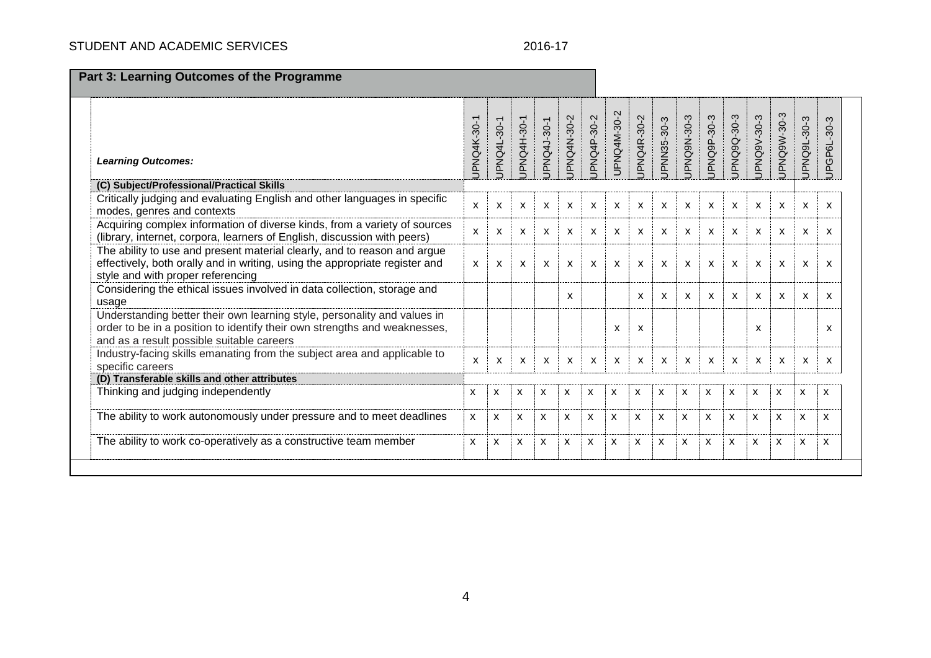# STUDENT AND ACADEMIC SERVICES 2016-17

| <b>Part 3: Learning Outcomes of the Programme</b>                                                                                                                                                  |              |              |              |              |              |              |                           |              |              |                           |                           |                           |              |                           |                           |              |
|----------------------------------------------------------------------------------------------------------------------------------------------------------------------------------------------------|--------------|--------------|--------------|--------------|--------------|--------------|---------------------------|--------------|--------------|---------------------------|---------------------------|---------------------------|--------------|---------------------------|---------------------------|--------------|
| <b>Learning Outcomes:</b>                                                                                                                                                                          | JPNQ4K-30-1  | JPNQ4L-30-1  | JPNQ4H-30-1  | JPNQ4J-30-1  | JPNQ4N-30-2  | JPNQ4P-30-2  | UPNQ4M-30-2               | JPNQ4R-30-2  | JPNN35-30-3  | JPNQ9N-30-3               | JPNQ9P-30-3               | JPNQ9Q-30-3               | JPNQ9V-30-3  | JPNQ9W-30-3               | JPNQ9L-30-3               | UPGP6L-30-3  |
| (C) Subject/Professional/Practical Skills                                                                                                                                                          |              |              |              |              |              |              |                           |              |              |                           |                           |                           |              |                           |                           |              |
| Critically judging and evaluating English and other languages in specific<br>modes, genres and contexts                                                                                            | $\mathsf{x}$ | $\mathsf{x}$ | $\mathsf{x}$ | $\mathsf{x}$ | $\mathsf{x}$ | $\mathsf{x}$ | $\mathsf{x}$              | $\mathsf{x}$ | $\mathsf{x}$ | $\mathsf{x}$              | $\mathsf{x}$              | $\mathsf{x}$              | $\mathsf{x}$ | $\mathsf{x}$              | X                         | $\mathsf{x}$ |
| Acquiring complex information of diverse kinds, from a variety of sources<br>(library, internet, corpora, learners of English, discussion with peers)                                              | $\mathsf{x}$ | X            | X            | X            | X            | X            | $\boldsymbol{\mathsf{x}}$ | X            | X            | $\boldsymbol{\mathsf{x}}$ | $\mathsf{x}$              | X                         | X            | $\mathsf{x}$              | X                         | $\mathsf{x}$ |
| The ability to use and present material clearly, and to reason and argue<br>effectively, both orally and in writing, using the appropriate register and<br>style and with proper referencing       | X            | $\mathsf{x}$ | x            | X            | X            | X            | X                         | X            | X            | X                         | X                         | X                         | X            | X                         | X                         | $\mathsf{x}$ |
| Considering the ethical issues involved in data collection, storage and<br>usage                                                                                                                   |              |              |              |              | X            |              |                           | X            | X            | $\boldsymbol{\mathsf{x}}$ | $\boldsymbol{\mathsf{x}}$ | X                         | X            | $\mathsf{x}$              | X                         | X            |
| Understanding better their own learning style, personality and values in<br>order to be in a position to identify their own strengths and weaknesses,<br>and as a result possible suitable careers |              |              |              |              |              |              | X                         | X            |              |                           |                           |                           | X            |                           |                           | X            |
| Industry-facing skills emanating from the subject area and applicable to<br>specific careers                                                                                                       | $\mathsf{x}$ | X            | X            | X            | X            | X            | X                         | X            | X            | X                         | X                         | x                         | X            | $\boldsymbol{\mathsf{x}}$ | X                         | X            |
| (D) Transferable skills and other attributes                                                                                                                                                       |              |              |              |              |              |              |                           |              |              |                           |                           |                           |              |                           |                           |              |
| Thinking and judging independently                                                                                                                                                                 | x            | X            | X            | X            | X            | X            | X                         | X            | X            | x                         | $\boldsymbol{\mathsf{x}}$ | X                         | $\mathsf{x}$ | X                         | X                         | X            |
| The ability to work autonomously under pressure and to meet deadlines                                                                                                                              | X            | X            | X            | X            | X            | X            | X                         | X            | X            | $\mathsf{x}$              | $\boldsymbol{\mathsf{x}}$ | $\boldsymbol{\mathsf{x}}$ | $\mathsf{x}$ | $\mathsf{x}$              | $\boldsymbol{\mathsf{x}}$ | $\mathsf{x}$ |
| The ability to work co-operatively as a constructive team member                                                                                                                                   | x            | X            | X            | x            | X            | X            | X                         | X            | X            | X                         | $\boldsymbol{\mathsf{x}}$ | X                         | X            | $\mathsf{x}$              | $\boldsymbol{\mathsf{x}}$ | X            |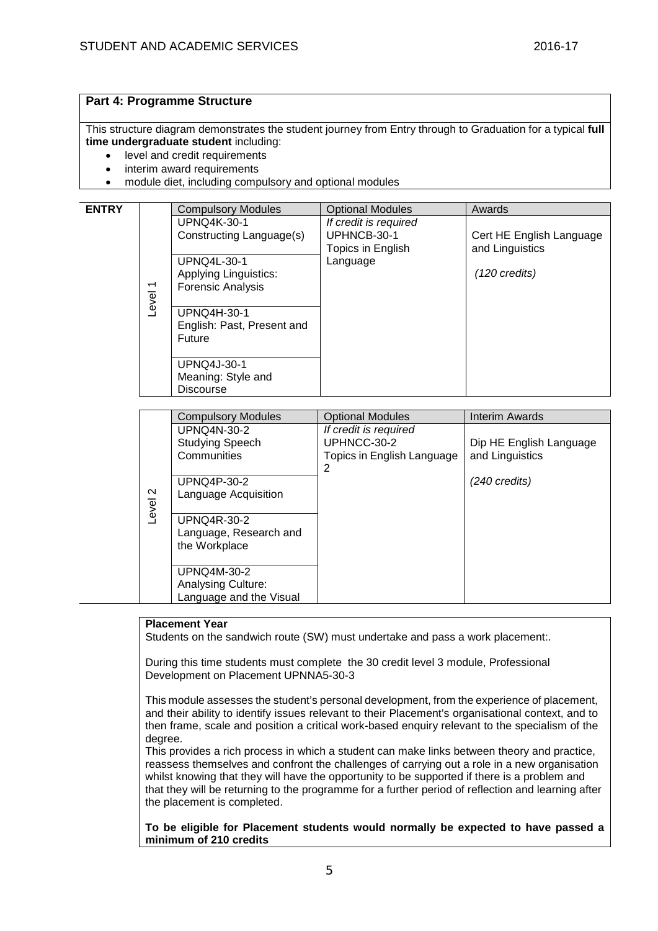# **Part 4: Programme Structure**

This structure diagram demonstrates the student journey from Entry through to Graduation for a typical **full time undergraduate student** including:

- level and credit requirements
- interim award requirements
- module diet, including compulsory and optional modules

| <b>ENTRY</b> |                          | <b>Compulsory Modules</b>    | <b>Optional Modules</b> | Awards                   |
|--------------|--------------------------|------------------------------|-------------------------|--------------------------|
|              |                          | UPNQ4K-30-1                  | If credit is required   |                          |
|              |                          | Constructing Language(s)     | UPHNCB-30-1             | Cert HE English Language |
|              |                          |                              | Topics in English       | and Linguistics          |
|              |                          | <b>UPNQ4L-30-1</b>           | Language                |                          |
|              |                          | <b>Applying Linguistics:</b> |                         | $(120 \text{ credits})$  |
|              | $\overline{\phantom{0}}$ | <b>Forensic Analysis</b>     |                         |                          |
|              |                          |                              |                         |                          |
|              | Level                    | UPNQ4H-30-1                  |                         |                          |
|              |                          | English: Past, Present and   |                         |                          |
|              |                          | <b>Future</b>                |                         |                          |
|              |                          |                              |                         |                          |
|              |                          | <b>UPNQ4J-30-1</b>           |                         |                          |
|              |                          | Meaning: Style and           |                         |                          |
|              |                          | <b>Discourse</b>             |                         |                          |
|              |                          |                              |                         |                          |

|         | <b>Compulsory Modules</b> | <b>Optional Modules</b>    | Interim Awards          |
|---------|---------------------------|----------------------------|-------------------------|
|         | <b>UPNQ4N-30-2</b>        | If credit is required      |                         |
|         | <b>Studying Speech</b>    | UPHNCC-30-2                | Dip HE English Language |
|         | Communities               | Topics in English Language | and Linguistics         |
|         |                           | 2                          |                         |
|         | UPNQ4P-30-2               |                            | (240 credits)           |
| Level 2 | Language Acquisition      |                            |                         |
|         |                           |                            |                         |
|         | UPNQ4R-30-2               |                            |                         |
|         | Language, Research and    |                            |                         |
|         | the Workplace             |                            |                         |
|         |                           |                            |                         |
|         | UPNQ4M-30-2               |                            |                         |
|         | <b>Analysing Culture:</b> |                            |                         |
|         | Language and the Visual   |                            |                         |

#### **Placement Year**

Students on the sandwich route (SW) must undertake and pass a work placement:.

During this time students must complete the 30 credit level 3 module, Professional Development on Placement UPNNA5-30-3

This module assesses the student's personal development, from the experience of placement, and their ability to identify issues relevant to their Placement's organisational context, and to then frame, scale and position a critical work-based enquiry relevant to the specialism of the degree.

This provides a rich process in which a student can make links between theory and practice, reassess themselves and confront the challenges of carrying out a role in a new organisation whilst knowing that they will have the opportunity to be supported if there is a problem and that they will be returning to the programme for a further period of reflection and learning after the placement is completed.

**To be eligible for Placement students would normally be expected to have passed a minimum of 210 credits**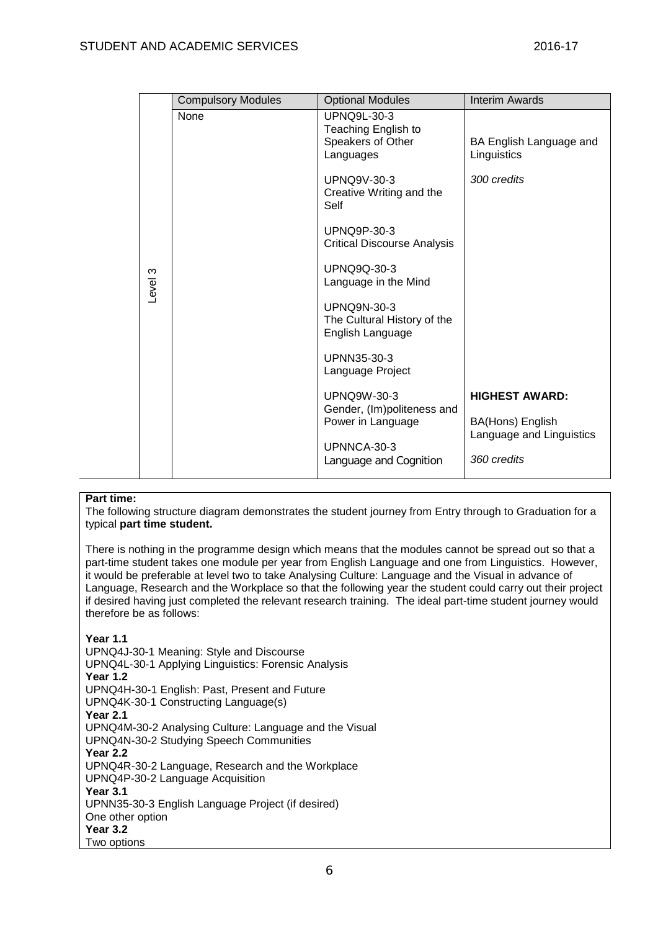|         | <b>Compulsory Modules</b> | <b>Optional Modules</b>                                                     | <b>Interim Awards</b>                        |
|---------|---------------------------|-----------------------------------------------------------------------------|----------------------------------------------|
|         | None                      | <b>UPNQ9L-30-3</b><br>Teaching English to<br>Speakers of Other<br>Languages | BA English Language and<br>Linguistics       |
|         |                           | <b>UPNQ9V-30-3</b><br>Creative Writing and the<br>Self                      | 300 credits                                  |
|         |                           | <b>UPNQ9P-30-3</b><br><b>Critical Discourse Analysis</b>                    |                                              |
| Level 3 |                           | <b>UPNQ9Q-30-3</b><br>Language in the Mind                                  |                                              |
|         |                           | <b>UPNQ9N-30-3</b><br>The Cultural History of the<br>English Language       |                                              |
|         |                           | UPNN35-30-3<br>Language Project                                             |                                              |
|         |                           | <b>UPNQ9W-30-3</b><br>Gender, (Im)politeness and                            | <b>HIGHEST AWARD:</b>                        |
|         |                           | Power in Language                                                           | BA(Hons) English<br>Language and Linguistics |
|         |                           | UPNNCA-30-3<br>Language and Cognition                                       | 360 credits                                  |

## **Part time:**

The following structure diagram demonstrates the student journey from Entry through to Graduation for a typical **part time student.**

There is nothing in the programme design which means that the modules cannot be spread out so that a part-time student takes one module per year from English Language and one from Linguistics. However, it would be preferable at level two to take Analysing Culture: Language and the Visual in advance of Language, Research and the Workplace so that the following year the student could carry out their project if desired having just completed the relevant research training. The ideal part-time student journey would therefore be as follows:

# **Year 1.1**

UPNQ4J-30-1 Meaning: Style and Discourse UPNQ4L-30-1 Applying Linguistics: Forensic Analysis **Year 1.2** UPNQ4H-30-1 English: Past, Present and Future UPNQ4K-30-1 Constructing Language(s) **Year 2.1** UPNQ4M-30-2 Analysing Culture: Language and the Visual UPNQ4N-30-2 Studying Speech Communities **Year 2.2** UPNQ4R-30-2 Language, Research and the Workplace UPNQ4P-30-2 Language Acquisition **Year 3.1** UPNN35-30-3 English Language Project (if desired) One other option **Year 3.2** Two options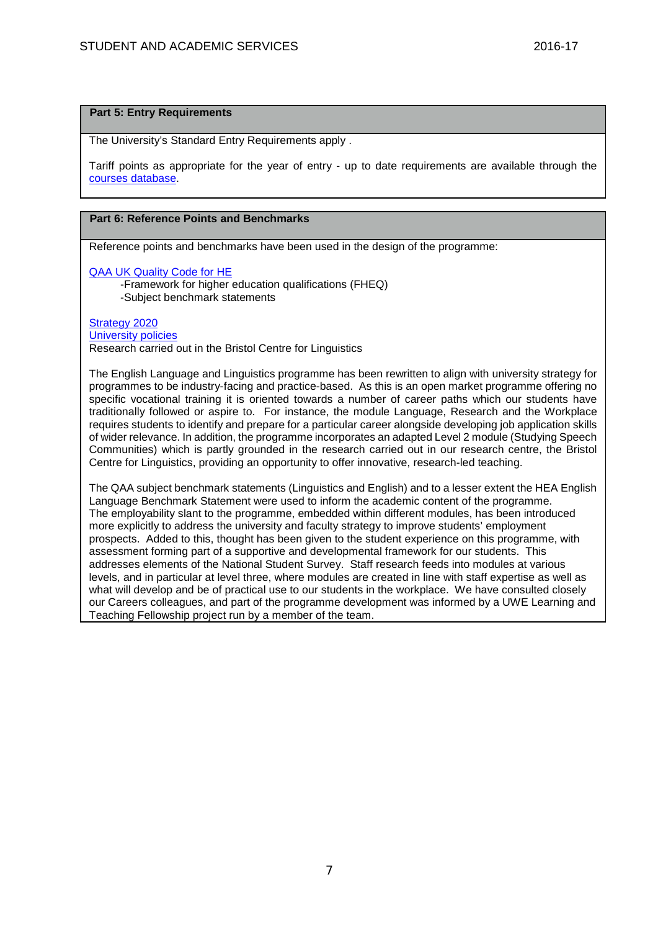### **Part 5: Entry Requirements**

The University's Standard Entry Requirements apply .

Tariff points as appropriate for the year of entry - up to date requirements are available through the [courses database.](http://www1.uwe.ac.uk/whatcanistudy/courses)

#### **Part 6: Reference Points and Benchmarks**

Reference points and benchmarks have been used in the design of the programme:

[QAA UK Quality Code for HE](http://www.qaa.ac.uk/assuringstandardsandquality/quality-code/Pages/default.aspx)

-Framework for higher education qualifications (FHEQ) -Subject benchmark statements

# [Strategy 2020](http://www1.uwe.ac.uk/about/corporateinformation/strategy.aspx)

[University](http://www1.uwe.ac.uk/aboutus/policies) policies Research carried out in the Bristol Centre for Linguistics

The English Language and Linguistics programme has been rewritten to align with university strategy for programmes to be industry-facing and practice-based. As this is an open market programme offering no specific vocational training it is oriented towards a number of career paths which our students have traditionally followed or aspire to. For instance, the module Language, Research and the Workplace requires students to identify and prepare for a particular career alongside developing job application skills of wider relevance. In addition, the programme incorporates an adapted Level 2 module (Studying Speech Communities) which is partly grounded in the research carried out in our research centre, the Bristol Centre for Linguistics, providing an opportunity to offer innovative, research-led teaching.

The QAA subject benchmark statements (Linguistics and English) and to a lesser extent the HEA English Language Benchmark Statement were used to inform the academic content of the programme. The employability slant to the programme, embedded within different modules, has been introduced more explicitly to address the university and faculty strategy to improve students' employment prospects. Added to this, thought has been given to the student experience on this programme, with assessment forming part of a supportive and developmental framework for our students. This addresses elements of the National Student Survey. Staff research feeds into modules at various levels, and in particular at level three, where modules are created in line with staff expertise as well as what will develop and be of practical use to our students in the workplace. We have consulted closely our Careers colleagues, and part of the programme development was informed by a UWE Learning and Teaching Fellowship project run by a member of the team.